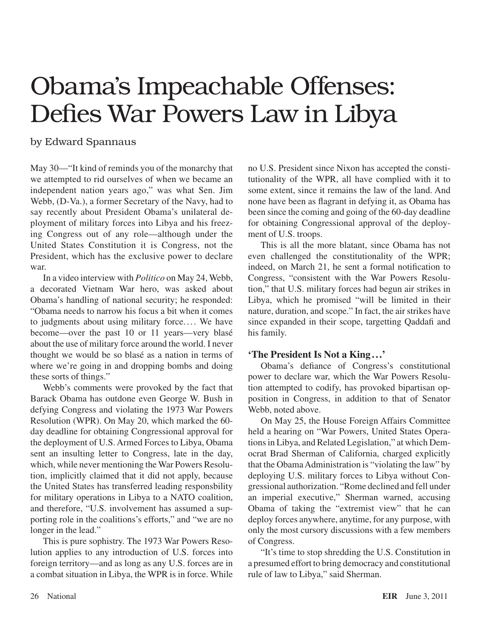## Obama's Impeachable Offenses: Defies War Powers Law in Libya

## by Edward Spannaus

May 30—"It kind of reminds you of the monarchy that we attempted to rid ourselves of when we became an independent nation years ago," was what Sen. Jim Webb, (D-Va.), a former Secretary of the Navy, had to say recently about President Obama's unilateral deployment of military forces into Libya and his freezing Congress out of any role—although under the United States Constitution it is Congress, not the President, which has the exclusive power to declare war.

In a video interview with *Politico* on May 24, Webb, a decorated Vietnam War hero, was asked about Obama's handling of national security; he responded: "Obama needs to narrow his focus a bit when it comes to judgments about using military force. ... We have become—over the past 10 or 11 years—very blasé about the use of military force around the world. I never thought we would be so blasé as a nation in terms of where we're going in and dropping bombs and doing these sorts of things."

Webb's comments were provoked by the fact that Barack Obama has outdone even George W. Bush in defying Congress and violating the 1973 War Powers Resolution (WPR). On May 20, which marked the 60 day deadline for obtaining Congressional approval for the deployment of U.S. Armed Forces to Libya, Obama sent an insulting letter to Congress, late in the day, which, while never mentioning the War Powers Resolution, implicitly claimed that it did not apply, because the United States has transferred leading responsbility for military operations in Libya to a NATO coalition, and therefore, "U.S. involvement has assumed a supporting role in the coalitions's efforts," and "we are no longer in the lead."

This is pure sophistry. The 1973 War Powers Resolution applies to any introduction of U.S. forces into foreign territory—and as long as any U.S. forces are in a combat situation in Libya, the WPR is in force. While no U.S. President since Nixon has accepted the constitutionality of the WPR, all have complied with it to some extent, since it remains the law of the land. And none have been as flagrant in defying it, as Obama has been since the coming and going of the 60-day deadline for obtaining Congressional approval of the deployment of U.S. troops.

This is all the more blatant, since Obama has not even challenged the constitutionality of the WPR; indeed, on March 21, he sent a formal notification to Congress, "consistent with the War Powers Resolution," that U.S. military forces had begun air strikes in Libya, which he promised "will be limited in their nature, duration, and scope." In fact, the air strikes have since expanded in their scope, targetting Qaddafi and his family.

## **'The President Is Not a King ...'**

Obama's defiance of Congress's constitutional power to declare war, which the War Powers Resolution attempted to codify, has provoked bipartisan opposition in Congress, in addition to that of Senator Webb, noted above.

On May 25, the House Foreign Affairs Committee held a hearing on "War Powers, United States Operations in Libya, and Related Legislation," at which Democrat Brad Sherman of California, charged explicitly that the Obama Administration is "violating the law" by deploying U.S. military forces to Libya without Congressional authorization. "Rome declined and fell under an imperial executive," Sherman warned, accusing Obama of taking the "extremist view" that he can deploy forces anywhere, anytime, for any purpose, with only the most cursory discussions with a few members of Congress.

"It's time to stop shredding the U.S. Constitution in a presumed effort to bring democracy and constitutional rule of law to Libya," said Sherman.